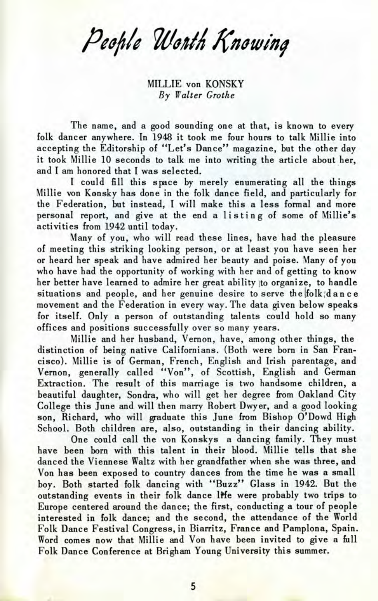People Worth Knowing

MILLIE von KONSKY *By Walter Grothe*

The name, and a good sounding one at that, is known to every folk dancer anywhere. In 1948 it took me four hours to talk Millie into accepting the Editorship of "Let's Dance" magazine, but the other day it took Millie 10 seconds to talk me into writing the article about her, and I am honored that I was selected.

I could fill this space by merely enumerating all the things Millie von Konsky has done in the folk dance field, and particularly for the Federation, but instead, I will make this a less formal and more personal report, and give at the end a listin g of some of Millie's activities from 1942 until today.

Many of you, who will read these lines, have had the pleasure of meeting this striking looking person, or at least you have seen her or heard her speak and have admired her beauty and poise. Many of you who have had the opportunity of working with her and of getting to know her better have learned to admire her great ability to organize, to handle situations and people, and her genuine desire to serve the folk dance movement and the Federation in every way. The data given below speaks for itself. Only a person of outstanding talents could hold so many offices and positions successfully over so many years.

Millie and her husband, Vernon, have, among other things, the distinction of being native Californians. (Both were born in San Francisco). Millie is of German, French, English and Irish parentage, and Vernon, generally called "Von", of Scottish, English and German Extraction. The result of this marriage is two handsome children, a beautiful daughter, Sondra, who will get her degree from Oakland City College this June and will then marry Robert Dwyer, and a good looking son, Richard, who will graduate this June from Bishop O'Dowd High School. Both children are, also, outstanding in their dancing ability.

One could call the von Konskys a dancing family. They must have been born with this talent in their blood. Millie tells that she danced the Viennese Waltz with her grandfather when she was three, and Von has been exposed to country dances from the time he was a small boy. Both started folk dancing with "Buzz" Glass in 1942. But the outstanding events in their folk dance life were probably two trips to Europe centered around the dance; the first, conducting a tour of people interested in folk dance; and the second, the attendance of the World Folk Dance Festival Congress, in Biarritz, France and Pamplona, Spain. Word comes now that Millie and Von have been invited to give a full Folk Dance Conference at Brigham Young University this summer.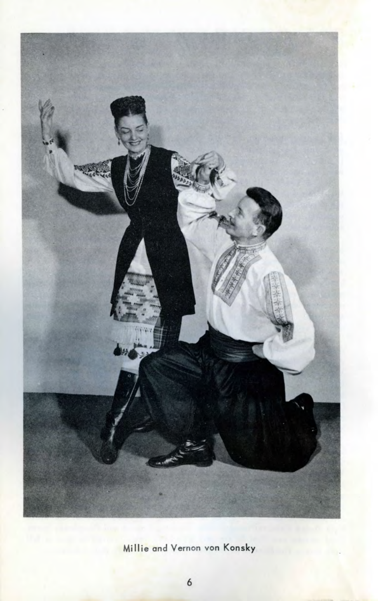

Millie and Vernon von Konsky